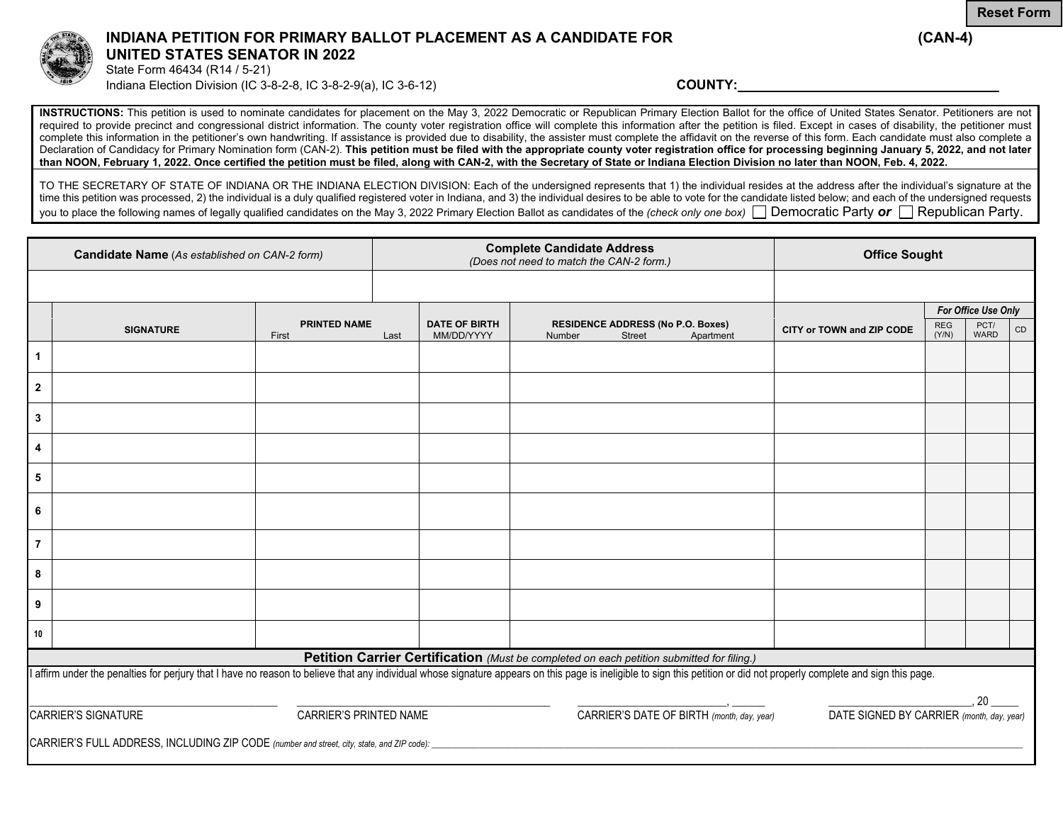



## **INDIANA PETITION FOR PRIMARY BALLOT PLACEMENT AS A CANDIDATE FOR (CAN-4) UNITED STATES SENATOR IN 2022**

State Form 46434 (R14 / 5-21) Indiana Election Division (IC 3-8-2-8, IC 3-8-2-9(a), IC 3-6-12) **COUNTY:** 

**INSTRUCTIONS:** This petition is used to nominate candidates for placement on the May 3, 2022 Democratic or Republican Primary Election Ballot for the office of United States Senator. Petitioners are not required to provide precinct and congressional district information. The county voter registration office will complete this information after the petition is filed. Except in cases of disability, the petitioner must complete this information in the petitioner's own handwriting. If assistance is provided due to disability, the assister must complete the affidavit on the reverse of this form. Each candidate must also complete a Declaration of Candidacy for Primary Nomination form (CAN-2). **This petition must be filed with the appropriate county voter registration office for processing beginning January 5, 2022, and not later than NOON, February 1, 2022. Once certified the petition must be filed, along with CAN-2, with the Secretary of State or Indiana Election Division no later than NOON, Feb. 4, 2022.** 

TO THE SECRETARY OF STATE OF INDIANA OR THE INDIANA ELECTION DIVISION: Each of the undersigned represents that 1) the individual resides at the address after the individual's signature at the time this petition was processed, 2) the individual is a duly qualified registered voter in Indiana, and 3) the individual desires to be able to vote for the candidate listed below; and each of the undersigned requests you to place the following names of legally qualified candidates on the May 3, 2022 Primary Election Ballot as candidates of the *(check only one box)* Democratic Party *or* Republican Party.

| Candidate Name (As established on CAN-2 form)                                              |                                                                                                                                                                                                                         |                              | <b>Complete Candidate Address</b><br>(Does not need to match the CAN-2 form.) |                                            |        |                                                           | <b>Office Sought</b> |                           |                                           |                     |    |  |
|--------------------------------------------------------------------------------------------|-------------------------------------------------------------------------------------------------------------------------------------------------------------------------------------------------------------------------|------------------------------|-------------------------------------------------------------------------------|--------------------------------------------|--------|-----------------------------------------------------------|----------------------|---------------------------|-------------------------------------------|---------------------|----|--|
|                                                                                            |                                                                                                                                                                                                                         |                              |                                                                               |                                            |        |                                                           |                      |                           |                                           |                     |    |  |
|                                                                                            |                                                                                                                                                                                                                         |                              |                                                                               |                                            |        |                                                           |                      |                           | For Office Use Only                       |                     |    |  |
|                                                                                            | <b>SIGNATURE</b>                                                                                                                                                                                                        | <b>PRINTED NAME</b><br>First | Last                                                                          | <b>DATE OF BIRTH</b><br>MM/DD/YYYY         | Number | <b>RESIDENCE ADDRESS (No P.O. Boxes)</b><br><b>Street</b> | Apartment            | CITY or TOWN and ZIP CODE | <b>REG</b><br>(Y/N)                       | PCT/<br><b>WARD</b> | CD |  |
| $\mathbf{1}$                                                                               |                                                                                                                                                                                                                         |                              |                                                                               |                                            |        |                                                           |                      |                           |                                           |                     |    |  |
| $\mathbf{2}$                                                                               |                                                                                                                                                                                                                         |                              |                                                                               |                                            |        |                                                           |                      |                           |                                           |                     |    |  |
| $\mathbf 3$                                                                                |                                                                                                                                                                                                                         |                              |                                                                               |                                            |        |                                                           |                      |                           |                                           |                     |    |  |
| 4                                                                                          |                                                                                                                                                                                                                         |                              |                                                                               |                                            |        |                                                           |                      |                           |                                           |                     |    |  |
| $\sqrt{5}$                                                                                 |                                                                                                                                                                                                                         |                              |                                                                               |                                            |        |                                                           |                      |                           |                                           |                     |    |  |
| 6                                                                                          |                                                                                                                                                                                                                         |                              |                                                                               |                                            |        |                                                           |                      |                           |                                           |                     |    |  |
| $\overline{7}$                                                                             |                                                                                                                                                                                                                         |                              |                                                                               |                                            |        |                                                           |                      |                           |                                           |                     |    |  |
| 8                                                                                          |                                                                                                                                                                                                                         |                              |                                                                               |                                            |        |                                                           |                      |                           |                                           |                     |    |  |
| 9                                                                                          |                                                                                                                                                                                                                         |                              |                                                                               |                                            |        |                                                           |                      |                           |                                           |                     |    |  |
| 10                                                                                         |                                                                                                                                                                                                                         |                              |                                                                               |                                            |        |                                                           |                      |                           |                                           |                     |    |  |
| Petition Carrier Certification (Must be completed on each petition submitted for filing.)  |                                                                                                                                                                                                                         |                              |                                                                               |                                            |        |                                                           |                      |                           |                                           |                     |    |  |
|                                                                                            | I affirm under the penalties for perjury that I have no reason to believe that any individual whose signature appears on this page is ineligible to sign this petition or did not properly complete and sign this page. |                              |                                                                               |                                            |        |                                                           |                      |                           |                                           |                     |    |  |
|                                                                                            |                                                                                                                                                                                                                         |                              |                                                                               |                                            |        |                                                           |                      |                           |                                           | 20                  |    |  |
|                                                                                            | <b>CARRIER'S SIGNATURE</b><br>CARRIER'S PRINTED NAME                                                                                                                                                                    |                              |                                                                               | CARRIER'S DATE OF BIRTH (month, day, year) |        |                                                           |                      |                           | DATE SIGNED BY CARRIER (month, day, year) |                     |    |  |
| CARRIER'S FULL ADDRESS, INCLUDING ZIP CODE (number and street, city, state, and ZIP code): |                                                                                                                                                                                                                         |                              |                                                                               |                                            |        |                                                           |                      |                           |                                           |                     |    |  |